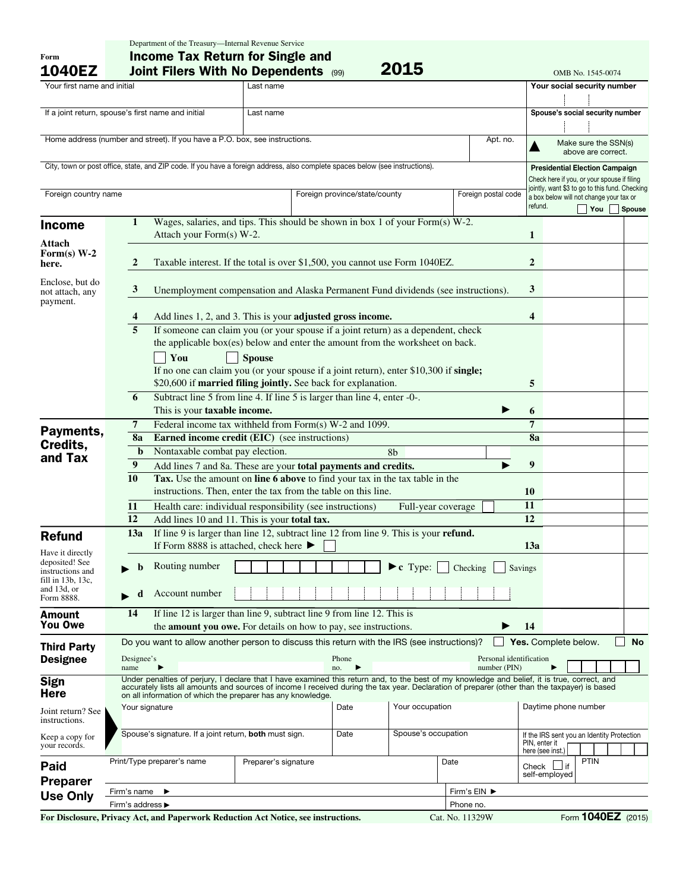| Form<br><b>1040EZ</b>              | <b>Income Tax Return for Single and</b><br>2015<br><b>Joint Filers With No Dependents (99)</b><br>OMB No. 1545-0074 |                                                                                                                                                                                                                                                                                               |               |                                                                                                                                                        |                               |                 |                 |                     |                       |                                                                                           |                      |               |  |
|------------------------------------|---------------------------------------------------------------------------------------------------------------------|-----------------------------------------------------------------------------------------------------------------------------------------------------------------------------------------------------------------------------------------------------------------------------------------------|---------------|--------------------------------------------------------------------------------------------------------------------------------------------------------|-------------------------------|-----------------|-----------------|---------------------|-----------------------|-------------------------------------------------------------------------------------------|----------------------|---------------|--|
| Your first name and initial        |                                                                                                                     |                                                                                                                                                                                                                                                                                               | Last name     |                                                                                                                                                        |                               |                 |                 |                     |                       | Your social security number                                                               |                      |               |  |
|                                    |                                                                                                                     |                                                                                                                                                                                                                                                                                               |               |                                                                                                                                                        |                               |                 |                 |                     |                       |                                                                                           |                      |               |  |
|                                    | If a joint return, spouse's first name and initial<br>Last name                                                     |                                                                                                                                                                                                                                                                                               |               |                                                                                                                                                        |                               |                 |                 |                     |                       | Spouse's social security number                                                           |                      |               |  |
|                                    |                                                                                                                     |                                                                                                                                                                                                                                                                                               |               |                                                                                                                                                        |                               |                 |                 |                     |                       |                                                                                           |                      |               |  |
|                                    |                                                                                                                     | Home address (number and street). If you have a P.O. box, see instructions.                                                                                                                                                                                                                   |               |                                                                                                                                                        |                               |                 |                 | Apt. no.            |                       |                                                                                           | Make sure the SSN(s) |               |  |
|                                    |                                                                                                                     |                                                                                                                                                                                                                                                                                               |               |                                                                                                                                                        |                               |                 |                 |                     |                       |                                                                                           | above are correct.   |               |  |
|                                    |                                                                                                                     | City, town or post office, state, and ZIP code. If you have a foreign address, also complete spaces below (see instructions).                                                                                                                                                                 |               |                                                                                                                                                        |                               |                 |                 |                     |                       | <b>Presidential Election Campaign</b>                                                     |                      |               |  |
|                                    |                                                                                                                     |                                                                                                                                                                                                                                                                                               |               |                                                                                                                                                        |                               |                 |                 |                     |                       | Check here if you, or your spouse if filing                                               |                      |               |  |
| Foreign country name               |                                                                                                                     |                                                                                                                                                                                                                                                                                               |               |                                                                                                                                                        | Foreign province/state/county |                 |                 | Foreign postal code |                       | jointly, want \$3 to go to this fund. Checking<br>a box below will not change your tax or |                      |               |  |
|                                    |                                                                                                                     |                                                                                                                                                                                                                                                                                               |               |                                                                                                                                                        |                               |                 |                 |                     | refund.               |                                                                                           | You                  | <b>Spouse</b> |  |
| <b>Income</b>                      | 1                                                                                                                   | Wages, salaries, and tips. This should be shown in box 1 of your Form(s) W-2.                                                                                                                                                                                                                 |               |                                                                                                                                                        |                               |                 |                 |                     |                       |                                                                                           |                      |               |  |
|                                    | Attach your Form(s) W-2.                                                                                            |                                                                                                                                                                                                                                                                                               |               |                                                                                                                                                        |                               |                 |                 |                     |                       |                                                                                           |                      |               |  |
| Attach<br>Form(s) $W-2$            |                                                                                                                     |                                                                                                                                                                                                                                                                                               |               |                                                                                                                                                        |                               |                 |                 |                     |                       |                                                                                           |                      |               |  |
| here.                              | $\boldsymbol{2}$                                                                                                    | Taxable interest. If the total is over \$1,500, you cannot use Form 1040EZ.                                                                                                                                                                                                                   |               |                                                                                                                                                        |                               |                 |                 |                     |                       |                                                                                           |                      |               |  |
| Enclose, but do                    |                                                                                                                     |                                                                                                                                                                                                                                                                                               |               |                                                                                                                                                        |                               |                 |                 |                     |                       |                                                                                           |                      |               |  |
| not attach, any                    | $\mathbf{3}$                                                                                                        | Unemployment compensation and Alaska Permanent Fund dividends (see instructions).                                                                                                                                                                                                             |               |                                                                                                                                                        |                               |                 |                 |                     |                       |                                                                                           |                      |               |  |
| payment.                           |                                                                                                                     |                                                                                                                                                                                                                                                                                               |               |                                                                                                                                                        |                               |                 |                 |                     |                       |                                                                                           |                      |               |  |
|                                    | 4                                                                                                                   | Add lines 1, 2, and 3. This is your adjusted gross income.                                                                                                                                                                                                                                    |               |                                                                                                                                                        |                               |                 |                 |                     |                       |                                                                                           |                      |               |  |
|                                    | 5                                                                                                                   | If someone can claim you (or your spouse if a joint return) as a dependent, check<br>the applicable box(es) below and enter the amount from the worksheet on back.                                                                                                                            |               |                                                                                                                                                        |                               |                 |                 |                     |                       |                                                                                           |                      |               |  |
|                                    |                                                                                                                     |                                                                                                                                                                                                                                                                                               |               |                                                                                                                                                        |                               |                 |                 |                     |                       |                                                                                           |                      |               |  |
|                                    |                                                                                                                     | You                                                                                                                                                                                                                                                                                           | <b>Spouse</b> |                                                                                                                                                        |                               |                 |                 |                     |                       |                                                                                           |                      |               |  |
|                                    |                                                                                                                     |                                                                                                                                                                                                                                                                                               |               | If no one can claim you (or your spouse if a joint return), enter \$10,300 if single;<br>\$20,600 if married filing jointly. See back for explanation. |                               |                 |                 |                     |                       |                                                                                           |                      |               |  |
|                                    |                                                                                                                     |                                                                                                                                                                                                                                                                                               |               |                                                                                                                                                        |                               |                 |                 |                     | 5                     |                                                                                           |                      |               |  |
|                                    | 6                                                                                                                   | Subtract line 5 from line 4. If line 5 is larger than line 4, enter -0-.                                                                                                                                                                                                                      |               |                                                                                                                                                        |                               |                 |                 |                     | 6                     |                                                                                           |                      |               |  |
|                                    |                                                                                                                     | This is your taxable income.<br>Federal income tax withheld from Form(s) W-2 and 1099.                                                                                                                                                                                                        |               |                                                                                                                                                        |                               |                 |                 |                     |                       |                                                                                           |                      |               |  |
| Payments,                          | 7<br>8a                                                                                                             |                                                                                                                                                                                                                                                                                               |               |                                                                                                                                                        |                               |                 |                 |                     | $7\phantom{.0}$<br>8a |                                                                                           |                      |               |  |
| Credits,                           | <b>Earned income credit (EIC)</b> (see instructions)<br>Nontaxable combat pay election.<br>$\mathbf b$<br>8b        |                                                                                                                                                                                                                                                                                               |               |                                                                                                                                                        |                               |                 |                 |                     |                       |                                                                                           |                      |               |  |
| and Tax                            | 9                                                                                                                   | Add lines 7 and 8a. These are your total payments and credits.                                                                                                                                                                                                                                |               |                                                                                                                                                        |                               |                 |                 |                     |                       |                                                                                           |                      |               |  |
|                                    |                                                                                                                     | Tax. Use the amount on line 6 above to find your tax in the tax table in the<br>10                                                                                                                                                                                                            |               |                                                                                                                                                        |                               |                 |                 |                     |                       |                                                                                           |                      |               |  |
|                                    |                                                                                                                     | instructions. Then, enter the tax from the table on this line.                                                                                                                                                                                                                                |               |                                                                                                                                                        |                               |                 |                 |                     |                       |                                                                                           |                      |               |  |
|                                    | Health care: individual responsibility (see instructions)<br>11<br>Full-year coverage                               |                                                                                                                                                                                                                                                                                               |               |                                                                                                                                                        |                               |                 |                 |                     |                       |                                                                                           |                      |               |  |
|                                    | 12                                                                                                                  | Add lines 10 and 11. This is your total tax.                                                                                                                                                                                                                                                  |               |                                                                                                                                                        |                               |                 |                 |                     |                       |                                                                                           |                      |               |  |
| <b>Refund</b>                      | 13a                                                                                                                 | 12<br>If line 9 is larger than line 12, subtract line 12 from line 9. This is your refund.                                                                                                                                                                                                    |               |                                                                                                                                                        |                               |                 |                 |                     |                       |                                                                                           |                      |               |  |
|                                    | If Form 8888 is attached, check here $\blacktriangleright$                                                          |                                                                                                                                                                                                                                                                                               |               |                                                                                                                                                        |                               |                 |                 |                     |                       |                                                                                           |                      |               |  |
| Have it directly<br>deposited! See |                                                                                                                     |                                                                                                                                                                                                                                                                                               |               |                                                                                                                                                        |                               |                 |                 |                     |                       |                                                                                           |                      |               |  |
| instructions and                   |                                                                                                                     | Routing number<br>$\blacktriangleright$ c Type:<br>Checking<br>Savings                                                                                                                                                                                                                        |               |                                                                                                                                                        |                               |                 |                 |                     |                       |                                                                                           |                      |               |  |
| fill in 13b, 13c,<br>and 13d, or   |                                                                                                                     |                                                                                                                                                                                                                                                                                               |               |                                                                                                                                                        |                               |                 |                 |                     |                       |                                                                                           |                      |               |  |
| Form 8888.                         | d                                                                                                                   | Account number                                                                                                                                                                                                                                                                                |               |                                                                                                                                                        |                               |                 |                 |                     |                       |                                                                                           |                      |               |  |
| <b>Amount</b>                      | 14                                                                                                                  | If line 12 is larger than line 9, subtract line 9 from line 12. This is                                                                                                                                                                                                                       |               |                                                                                                                                                        |                               |                 |                 |                     |                       |                                                                                           |                      |               |  |
| <b>You Owe</b>                     | the <b>amount you owe.</b> For details on how to pay, see instructions.                                             |                                                                                                                                                                                                                                                                                               |               |                                                                                                                                                        |                               |                 |                 |                     |                       |                                                                                           |                      |               |  |
| <b>Third Party</b>                 | Do you want to allow another person to discuss this return with the IRS (see instructions)?                         |                                                                                                                                                                                                                                                                                               |               |                                                                                                                                                        |                               |                 |                 |                     |                       |                                                                                           | Yes. Complete below. | <b>No</b>     |  |
| <b>Designee</b>                    | Designee's<br>Personal identification<br>Phone                                                                      |                                                                                                                                                                                                                                                                                               |               |                                                                                                                                                        |                               |                 |                 |                     |                       |                                                                                           |                      |               |  |
|                                    | name                                                                                                                |                                                                                                                                                                                                                                                                                               |               |                                                                                                                                                        | no.                           |                 |                 | number (PIN)        |                       |                                                                                           |                      |               |  |
| <b>Sign</b>                        |                                                                                                                     | Under penalties of perjury, I declare that I have examined this return and, to the best of my knowledge and belief, it is true, correct, and<br>accurately lists all amounts and sources of income I received during the tax year. Declaration of preparer (other than the taxpayer) is based |               |                                                                                                                                                        |                               |                 |                 |                     |                       |                                                                                           |                      |               |  |
| <b>Here</b>                        |                                                                                                                     | on all information of which the preparer has any knowledge.                                                                                                                                                                                                                                   |               |                                                                                                                                                        |                               |                 |                 |                     |                       | Daytime phone number                                                                      |                      |               |  |
| Joint return? See                  | Your signature                                                                                                      |                                                                                                                                                                                                                                                                                               |               |                                                                                                                                                        | Date                          | Your occupation |                 |                     |                       |                                                                                           |                      |               |  |
| instructions.                      |                                                                                                                     |                                                                                                                                                                                                                                                                                               |               |                                                                                                                                                        |                               |                 |                 |                     |                       |                                                                                           |                      |               |  |
| Keep a copy for<br>your records.   | Spouse's occupation<br>Spouse's signature. If a joint return, both must sign.<br>Date                               |                                                                                                                                                                                                                                                                                               |               |                                                                                                                                                        |                               |                 |                 |                     | PIN, enter it         | If the IRS sent you an Identity Protection                                                |                      |               |  |
|                                    |                                                                                                                     |                                                                                                                                                                                                                                                                                               |               |                                                                                                                                                        |                               |                 |                 |                     |                       | here (see inst.)                                                                          | <b>PTIN</b>          |               |  |
| Paid                               |                                                                                                                     | Print/Type preparer's name<br>Date<br>Preparer's signature                                                                                                                                                                                                                                    |               |                                                                                                                                                        |                               |                 |                 |                     |                       | Check $\Box$ if<br>self-employed                                                          |                      |               |  |
| <b>Preparer</b>                    |                                                                                                                     |                                                                                                                                                                                                                                                                                               |               |                                                                                                                                                        |                               |                 |                 |                     |                       |                                                                                           |                      |               |  |
| <b>Use Only</b>                    | Firm's EIN ▶<br>Firm's name<br>▶<br>Firm's address ▶<br>Phone no.                                                   |                                                                                                                                                                                                                                                                                               |               |                                                                                                                                                        |                               |                 |                 |                     |                       |                                                                                           |                      |               |  |
|                                    |                                                                                                                     | For Disclosure, Privacy Act, and Paperwork Reduction Act Notice, see instructions.                                                                                                                                                                                                            |               |                                                                                                                                                        |                               |                 | Cat. No. 11329W |                     |                       |                                                                                           | Form 1040EZ (2015)   |               |  |

Department of the Treasury—Internal Revenue Service